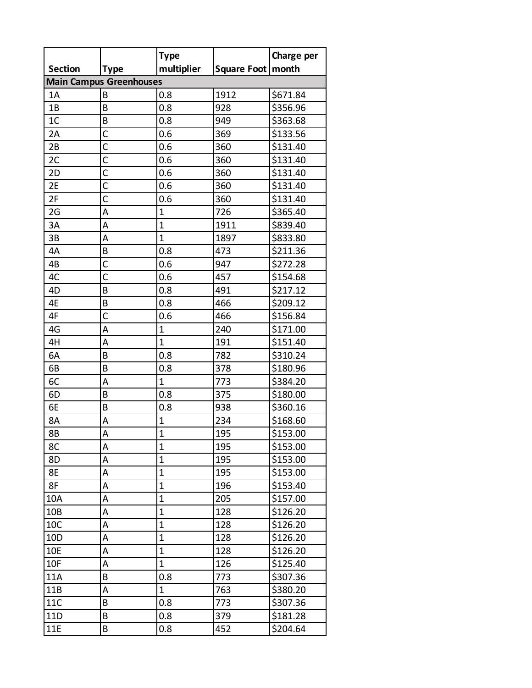|                                |              | <b>Type</b>    |             | Charge per |  |  |  |
|--------------------------------|--------------|----------------|-------------|------------|--|--|--|
| <b>Section</b>                 | Type         | multiplier     | Square Foot | month      |  |  |  |
| <b>Main Campus Greenhouses</b> |              |                |             |            |  |  |  |
| 1A                             | B            | 0.8            | 1912        | \$671.84   |  |  |  |
| 1B                             | B            | 0.8            | 928         | \$356.96   |  |  |  |
| 1 <sup>C</sup>                 | B            | 0.8            | 949         | \$363.68   |  |  |  |
| 2A                             | $\mathsf{C}$ | 0.6            | 369         | \$133.56   |  |  |  |
| 2B                             | C            | 0.6            | 360         | \$131.40   |  |  |  |
| 2C                             | $\mathsf{C}$ | 0.6            | 360         | \$131.40   |  |  |  |
| 2D                             | $\mathsf{C}$ | 0.6            | 360         | \$131.40   |  |  |  |
| 2E                             | $\mathsf{C}$ | 0.6            | 360         | \$131.40   |  |  |  |
| 2F                             | C            | 0.6            | 360         | \$131.40   |  |  |  |
| 2G                             | A            | $\mathbf{1}$   | 726         | \$365.40   |  |  |  |
| 3A                             | A            | $\mathbf{1}$   | 1911        | \$839.40   |  |  |  |
| 3B                             | A            | $\mathbf{1}$   | 1897        | \$833.80   |  |  |  |
| 4A                             | B            | 0.8            | 473         | \$211.36   |  |  |  |
| 4B                             | $\mathsf{C}$ | 0.6            | 947         | \$272.28   |  |  |  |
| 4C                             | C            | 0.6            | 457         | \$154.68   |  |  |  |
| 4D                             | B            | 0.8            | 491         | \$217.12   |  |  |  |
| 4E                             | B            | 0.8            | 466         | \$209.12   |  |  |  |
| 4F                             | $\mathsf{C}$ | 0.6            | 466         | \$156.84   |  |  |  |
| 4G                             | A            | $\mathbf 1$    | 240         | \$171.00   |  |  |  |
| 4H                             | A            | $\mathbf{1}$   | 191         | \$151.40   |  |  |  |
| 6A                             | B            | 0.8            | 782         | \$310.24   |  |  |  |
| 6B                             | B            | 0.8            | 378         | \$180.96   |  |  |  |
| 6C                             | Α            | $\mathbf{1}$   | 773         | \$384.20   |  |  |  |
| 6D                             | B            | 0.8            | 375         | \$180.00   |  |  |  |
| 6E                             | B            | 0.8            | 938         | \$360.16   |  |  |  |
| 8A                             | Α            | $\mathbf{1}$   | 234         | \$168.60   |  |  |  |
| 8B                             | A            | $\overline{1}$ | 195         | \$153.00   |  |  |  |
| 8C                             | Α            | $\mathbf{1}$   | 195         | \$153.00   |  |  |  |
| 8D                             | A            | $\mathbf 1$    | 195         | \$153.00   |  |  |  |
| 8E                             | Α            | $\mathbf 1$    | 195         | \$153.00   |  |  |  |
| 8F                             | Α            | 1              | 196         | \$153.40   |  |  |  |
| 10A                            | A            | $\mathbf 1$    | 205         | \$157.00   |  |  |  |
| 10B                            | Α            | $\mathbf 1$    | 128         | \$126.20   |  |  |  |
| 10C                            | Α            | $\mathbf 1$    | 128         | \$126.20   |  |  |  |
| 10 <sub>D</sub>                | Α            | 1              | 128         | \$126.20   |  |  |  |
| 10E                            | Α            | $\mathbf 1$    | 128         | \$126.20   |  |  |  |
| 10F                            | Α            | $\mathbf 1$    | 126         | \$125.40   |  |  |  |
| <b>11A</b>                     | В            | 0.8            | 773         | \$307.36   |  |  |  |
| 11B                            | Α            | 1              | 763         | \$380.20   |  |  |  |
| <b>11C</b>                     | В            | 0.8            | 773         | \$307.36   |  |  |  |
| 11D                            | В            | 0.8            | 379         | \$181.28   |  |  |  |
| 11E                            | В            | 0.8            | 452         | \$204.64   |  |  |  |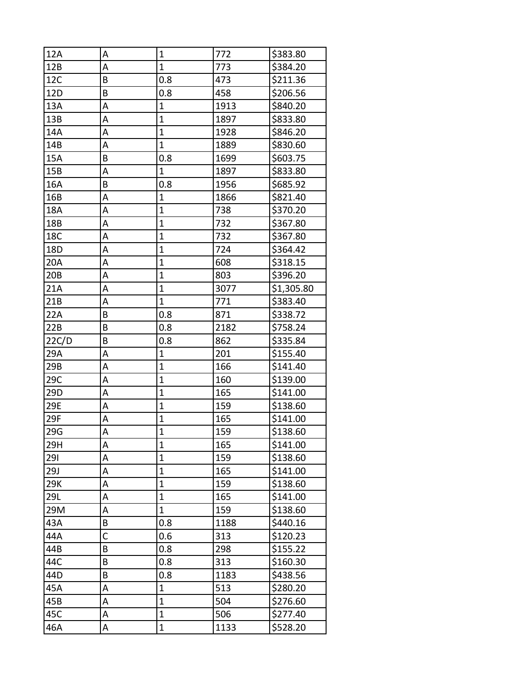| 12A   | А | $\mathbf 1$  | 772  | \$383.80   |
|-------|---|--------------|------|------------|
| 12B   | A | $\mathbf{1}$ | 773  | \$384.20   |
| 12C   | B | 0.8          | 473  | \$211.36   |
| 12D   | B | 0.8          | 458  | \$206.56   |
| 13A   | А | $\mathbf 1$  | 1913 | \$840.20   |
| 13B   | А | $\mathbf 1$  | 1897 | \$833.80   |
| 14A   | А | $\mathbf{1}$ | 1928 | \$846.20   |
| 14B   | А | $\mathbf{1}$ | 1889 | \$830.60   |
| 15A   | B | 0.8          | 1699 | \$603.75   |
| 15B   | А | $\mathbf{1}$ | 1897 | \$833.80   |
| 16A   | B | 0.8          | 1956 | \$685.92   |
| 16B   | А | $\mathbf 1$  | 1866 | \$821.40   |
| 18A   | А | $\mathbf{1}$ | 738  | \$370.20   |
| 18B   | А | $\mathbf{1}$ | 732  | \$367.80   |
| 18C   | А | $\mathbf{1}$ | 732  | \$367.80   |
| 18D   | А | $\mathbf{1}$ | 724  | \$364.42   |
| 20A   | А | $\mathbf{1}$ | 608  | \$318.15   |
| 20B   | А | $\mathbf{1}$ | 803  | \$396.20   |
| 21A   | А | $\mathbf{1}$ | 3077 | \$1,305.80 |
| 21B   | А | $\mathbf 1$  | 771  | \$383.40   |
| 22A   | B | 0.8          | 871  | \$338.72   |
| 22B   | B | 0.8          | 2182 | \$758.24   |
| 22C/D | B | 0.8          | 862  | \$335.84   |
| 29A   | А | $\mathbf 1$  | 201  | \$155.40   |
| 29B   | А | $\mathbf{1}$ | 166  | \$141.40   |
| 29C   | А | $\mathbf{1}$ | 160  | \$139.00   |
| 29D   | А | $\mathbf{1}$ | 165  | \$141.00   |
| 29E   | А | $\mathbf{1}$ | 159  | \$138.60   |
| 29F   | А | $\mathbf{1}$ | 165  | \$141.00   |
| 29G   | А | $\mathbf{1}$ | 159  | \$138.60   |
| 29H   | А | 1            | 165  | \$141.00   |
| 291   | А | $\mathbf{1}$ | 159  | \$138.60   |
| 29J   | А | $\mathbf{1}$ | 165  | \$141.00   |
| 29K   | А | $\mathbf{1}$ | 159  | \$138.60   |
| 29L   | А | $\mathbf{1}$ | 165  | \$141.00   |
| 29M   | А | $\mathbf{1}$ | 159  | \$138.60   |
| 43A   | Β | 0.8          | 1188 | \$440.16   |
| 44A   | C | 0.6          | 313  | \$120.23   |
| 44B   | B | 0.8          | 298  | \$155.22   |
| 44C   | Β | 0.8          | 313  | \$160.30   |
| 44D   | Β | 0.8          | 1183 | \$438.56   |
| 45A   | А | $\mathbf{1}$ | 513  | \$280.20   |
| 45B   | А | $\mathbf{1}$ | 504  | \$276.60   |
| 45C   | Α | $\mathbf 1$  | 506  | \$277.40   |
| 46A   | A | $\mathbf 1$  | 1133 | \$528.20   |